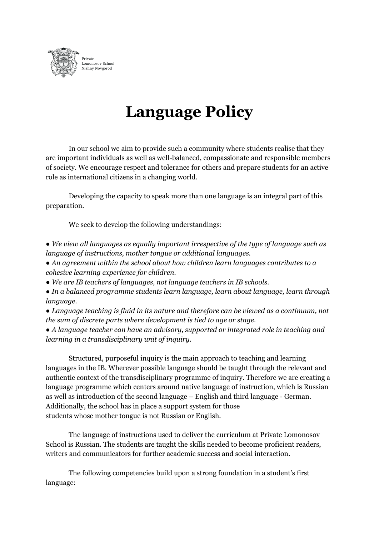

## **Language Policy**

In our school we aim to provide such a community where students realise that they are important individuals as well as well-balanced, compassionate and responsible members of society. We encourage respect and tolerance for others and prepare students for an active role as international citizens in a changing world.

Developing the capacity to speak more than one language is an integral part of this preparation.

We seek to develop the following understandings:

*● We view all languages as equally important irrespective of the type of language such as language of instructions, mother tongue or additional languages.*

*● An agreement within the school about how children learn languages contributes to a cohesive learning experience for children.*

*● We are IB teachers of languages, not language teachers in IB schools.*

*● In a balanced programme students learn language, learn about language, learn through language.*

*● Language teaching is fluid in its nature and therefore can be viewed as a continuum, not the sum of discrete parts where development is tied to age or stage.*

*● A language teacher can have an advisory, supported or integrated role in teaching and learning in a transdisciplinary unit of inquiry.*

Structured, purposeful inquiry is the main approach to teaching and learning languages in the IB. Wherever possible language should be taught through the relevant and authentic context of the transdisciplinary programme of inquiry. Therefore we are creating a language programme which centers around native language of instruction, which is Russian as well as introduction of the second language – English and third language - German. Additionally, the school has in place a support system for those students whose mother tongue is not Russian or English.

The language of instructions used to deliver the curriculum at Private Lomonosov School is Russian. The students are taught the skills needed to become proficient readers, writers and communicators for further academic success and social interaction.

The following competencies build upon a strong foundation in a student's first language: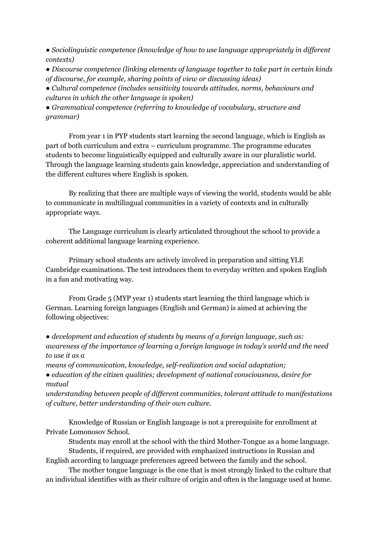*● Sociolinguistic competence (knowledge of how to use language appropriately in dif erent contexts)*

*● Discourse competence (linking elements of language together to take part in certain kinds of discourse, for example, sharing points of view or discussing ideas)*

*● Cultural competence (includes sensitivity towards attitudes, norms, behaviours and cultures in which the other language is spoken)*

*● Grammatical competence (referring to knowledge of vocabulary, structure and grammar)*

From year 1 in PYP students start learning the second language, which is English as part of both curriculum and extra – curriculum programme. The programme educates students to become linguistically equipped and culturally aware in our pluralistic world. Through the language learning students gain knowledge, appreciation and understanding of the different cultures where English is spoken.

By realizing that there are multiple ways of viewing the world, students would be able to communicate in multilingual communities in a variety of contexts and in culturally appropriate ways.

The Language curriculum is clearly articulated throughout the school to provide a coherent additional language learning experience.

Primary school students are actively involved in preparation and sitting YLE Cambridge examinations. The test introduces them to everyday written and spoken English in a fun and motivating way.

From Grade 5 (MYP year 1) students start learning the third language which is German. Learning foreign languages (English and German) is aimed at achieving the following objectives:

*● development and education of students by means of a foreign language, such as: awareness of the importance of learning a foreign language in today's world and the need to use it as a*

*means of communication, knowledge, self-realization and social adaptation;*

*● education of the citizen qualities; development of national consciousness, desire for mutual*

*understanding between people of dif erent communities, tolerant attitude to manifestations of culture, better understanding of their own culture.*

Knowledge of Russian or English language is not a prerequisite for enrollment at Private Lomonosov School.

Students may enroll at the school with the third Mother-Tongue as a home language. Students, if required, are provided with emphasized instructions in Russian and English according to language preferences agreed between the family and the school.

The mother tongue language is the one that is most strongly linked to the culture that an individual identifies with as their culture of origin and often is the language used at home.